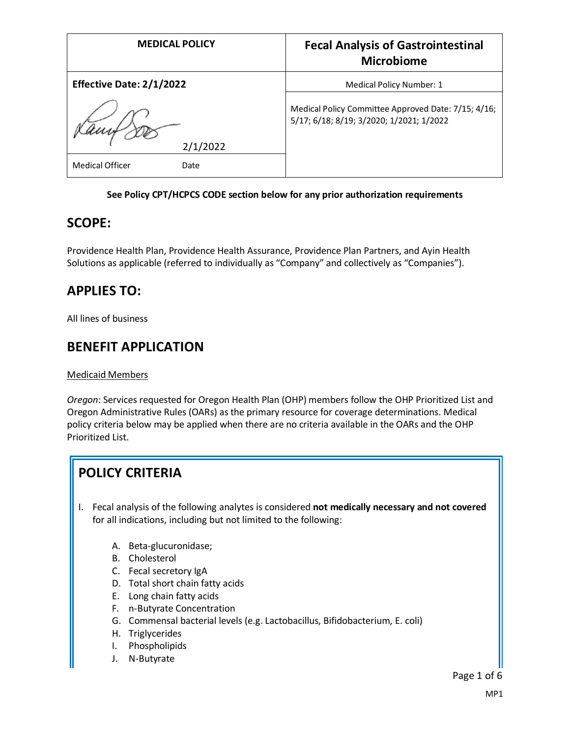| <b>MEDICAL POLICY</b>           | <b>Fecal Analysis of Gastrointestinal</b><br><b>Microbiome</b>                                  |
|---------------------------------|-------------------------------------------------------------------------------------------------|
| <b>Effective Date: 2/1/2022</b> | Medical Policy Number: 1                                                                        |
| 2/1/2022                        | Medical Policy Committee Approved Date: 7/15; 4/16;<br>5/17; 6/18; 8/19; 3/2020; 1/2021; 1/2022 |
| <b>Medical Officer</b><br>Date  |                                                                                                 |

### **See Policy CPT/HCPCS CODE section below for any prior authorization requirements**

### **SCOPE:**

Providence Health Plan, Providence Health Assurance, Providence Plan Partners, and Ayin Health Solutions as applicable (referred to individually as "Company" and collectively as "Companies").

### **APPLIES TO:**

All lines of business

### **BENEFIT APPLICATION**

#### Medicaid Members

*Oregon*: Services requested for Oregon Health Plan (OHP) members follow the OHP Prioritized List and Oregon Administrative Rules (OARs) as the primary resource for coverage determinations. Medical policy criteria below may be applied when there are no criteria available in the OARs and the OHP Prioritized List.

# **POLICY CRITERIA**

- I. Fecal analysis of the following analytes is considered **not medically necessary and not covered** for all indications, including but not limited to the following:
	- A. Beta-glucuronidase;
	- B. Cholesterol
	- C. Fecal secretory IgA
	- D. Total short chain fatty acids
	- E. Long chain fatty acids
	- F. n-Butyrate Concentration
	- G. Commensal bacterial levels (e.g. Lactobacillus, Bifidobacterium, E. coli)
	- H. Triglycerides
	- I. Phospholipids
	- J. N-Butyrate

Page 1 of 6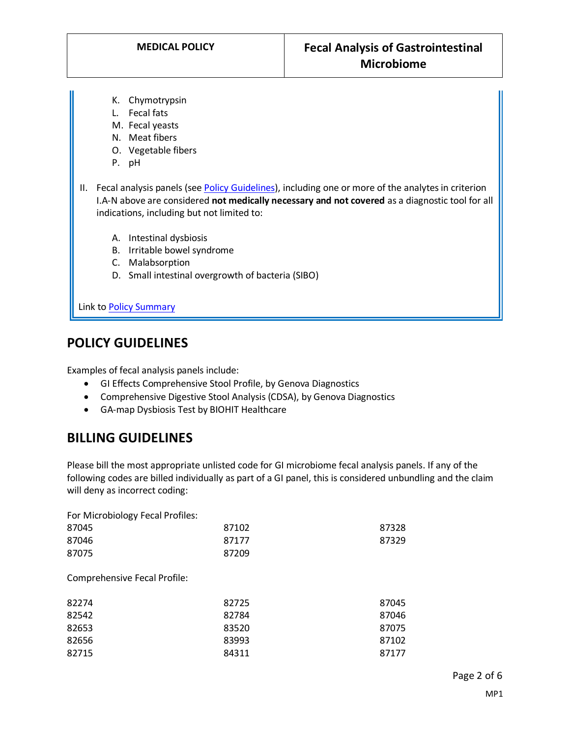- K. Chymotrypsin
- L. Fecal fats
- M. Fecal yeasts
- N. Meat fibers
- O. Vegetable fibers
- P. pH
- II. Fecal analysis panels (see [Policy Guidelines\)](#page-1-0), including one or more of the analytes in criterion I.A-N above are considered **not medically necessary and not covered** as a diagnostic tool for all indications, including but not limited to:
	- A. Intestinal dysbiosis
	- B. Irritable bowel syndrome
	- C. Malabsorption
	- D. Small intestinal overgrowth of bacteria (SIBO)

Link t[o Policy Summary](#page-4-0)

# **POLICY GUIDELINES**

<span id="page-1-0"></span>Examples of fecal analysis panels include:

- GI Effects Comprehensive Stool Profile, by Genova Diagnostics
- Comprehensive Digestive Stool Analysis (CDSA), by Genova Diagnostics
- GA-map Dysbiosis Test by BIOHIT Healthcare

# **BILLING GUIDELINES**

Please bill the most appropriate unlisted code for GI microbiome fecal analysis panels. If any of the following codes are billed individually as part of a GI panel, this is considered unbundling and the claim will deny as incorrect coding:

For Microbiology Fecal Profiles:

| 87045 | 87102 | 87328 |
|-------|-------|-------|
| 87046 | 87177 | 87329 |
| 87075 | 87209 |       |

Comprehensive Fecal Profile:

| 82274 | 82725 | 87045 |
|-------|-------|-------|
| 82542 | 82784 | 87046 |
| 82653 | 83520 | 87075 |
| 82656 | 83993 | 87102 |
| 82715 | 84311 | 87177 |
|       |       |       |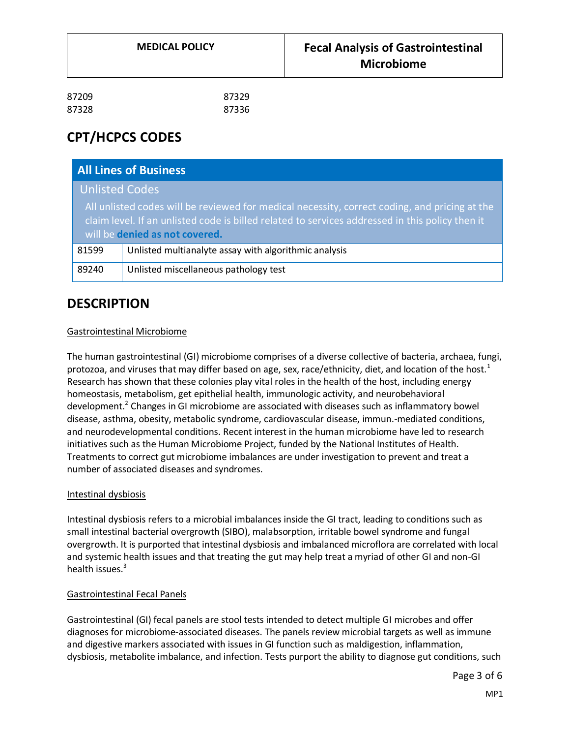# **CPT/HCPCS CODES**

| <b>All Lines of Business</b>                                                                                                                                                                                                       |                                                       |  |
|------------------------------------------------------------------------------------------------------------------------------------------------------------------------------------------------------------------------------------|-------------------------------------------------------|--|
| Unlisted Codes                                                                                                                                                                                                                     |                                                       |  |
| All unlisted codes will be reviewed for medical necessity, correct coding, and pricing at the<br>claim level. If an unlisted code is billed related to services addressed in this policy then it<br>will be denied as not covered. |                                                       |  |
| 81599                                                                                                                                                                                                                              | Unlisted multianalyte assay with algorithmic analysis |  |
| 89240                                                                                                                                                                                                                              | Unlisted miscellaneous pathology test                 |  |

# **DESCRIPTION**

#### Gastrointestinal Microbiome

The human gastrointestinal (GI) microbiome comprises of a diverse collective of bacteria, archaea, fungi, protozoa, and viruses that may differ based on age, sex, race/ethnicity, diet, and location of the host.<sup>1</sup> Research has shown that these colonies play vital roles in the health of the host, including energy homeostasis, metabolism, get epithelial health, immunologic activity, and neurobehavioral development.<sup>2</sup> Changes in GI microbiome are associated with diseases such as inflammatory bowel disease, asthma, obesity, metabolic syndrome, cardiovascular disease, immun.-mediated conditions, and neurodevelopmental conditions. Recent interest in the human microbiome have led to research initiatives such as the Human Microbiome Project, funded by the National Institutes of Health. Treatments to correct gut microbiome imbalances are under investigation to prevent and treat a number of associated diseases and syndromes.

#### Intestinal dysbiosis

Intestinal dysbiosis refers to a microbial imbalances inside the GI tract, leading to conditions such as small intestinal bacterial overgrowth (SIBO), malabsorption, irritable bowel syndrome and fungal overgrowth. It is purported that intestinal dysbiosis and imbalanced microflora are correlated with local and systemic health issues and that treating the gut may help treat a myriad of other GI and non-GI health issues.<sup>3</sup>

#### Gastrointestinal Fecal Panels

Gastrointestinal (GI) fecal panels are stool tests intended to detect multiple GI microbes and offer diagnoses for microbiome-associated diseases. The panels review microbial targets as well as immune and digestive markers associated with issues in GI function such as maldigestion, inflammation, dysbiosis, metabolite imbalance, and infection. Tests purport the ability to diagnose gut conditions, such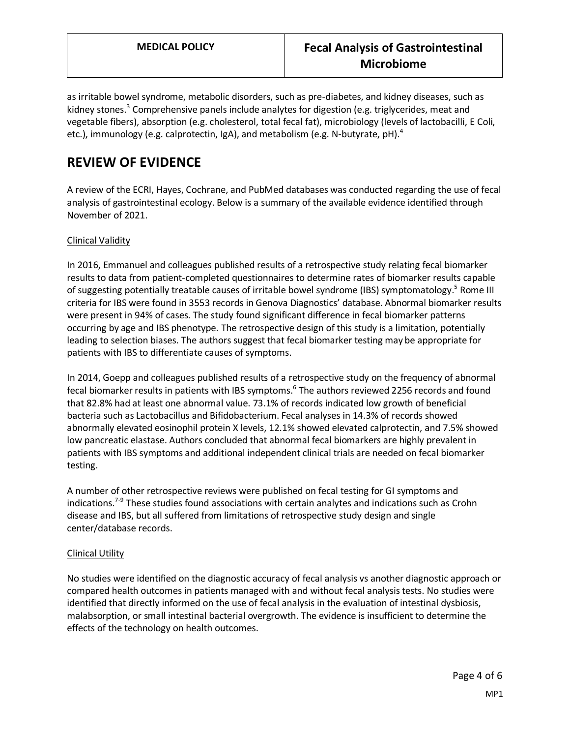as irritable bowel syndrome, metabolic disorders, such as pre-diabetes, and kidney diseases, such as kidney stones.<sup>3</sup> Comprehensive panels include analytes for digestion (e.g. triglycerides, meat and vegetable fibers), absorption (e.g. cholesterol, total fecal fat), microbiology (levels of lactobacilli, E Coli, etc.), immunology (e.g. calprotectin, IgA), and metabolism (e.g. N-butyrate, pH).<sup>4</sup>

# **REVIEW OF EVIDENCE**

A review of the ECRI, Hayes, Cochrane, and PubMed databases was conducted regarding the use of fecal analysis of gastrointestinal ecology. Below is a summary of the available evidence identified through November of 2021.

### Clinical Validity

In 2016, Emmanuel and colleagues published results of a retrospective study relating fecal biomarker results to data from patient-completed questionnaires to determine rates of biomarker results capable of suggesting potentially treatable causes of irritable bowel syndrome (IBS) symptomatology.<sup>5</sup> Rome III criteria for IBS were found in 3553 records in Genova Diagnostics' database. Abnormal biomarker results were present in 94% of cases. The study found significant difference in fecal biomarker patterns occurring by age and IBS phenotype. The retrospective design of this study is a limitation, potentially leading to selection biases. The authors suggest that fecal biomarker testing may be appropriate for patients with IBS to differentiate causes of symptoms.

In 2014, Goepp and colleagues published results of a retrospective study on the frequency of abnormal fecal biomarker results in patients with IBS symptoms.<sup>6</sup> The authors reviewed 2256 records and found that 82.8% had at least one abnormal value. 73.1% of records indicated low growth of beneficial bacteria such as Lactobacillus and Bifidobacterium. Fecal analyses in 14.3% of records showed abnormally elevated eosinophil protein X levels, 12.1% showed elevated calprotectin, and 7.5% showed low pancreatic elastase. Authors concluded that abnormal fecal biomarkers are highly prevalent in patients with IBS symptoms and additional independent clinical trials are needed on fecal biomarker testing.

A number of other retrospective reviews were published on fecal testing for GI symptoms and indications.<sup>7-9</sup> These studies found associations with certain analytes and indications such as Crohn disease and IBS, but all suffered from limitations of retrospective study design and single center/database records.

### Clinical Utility

No studies were identified on the diagnostic accuracy of fecal analysis vs another diagnostic approach or compared health outcomes in patients managed with and without fecal analysis tests. No studies were identified that directly informed on the use of fecal analysis in the evaluation of intestinal dysbiosis, malabsorption, or small intestinal bacterial overgrowth. The evidence is insufficient to determine the effects of the technology on health outcomes.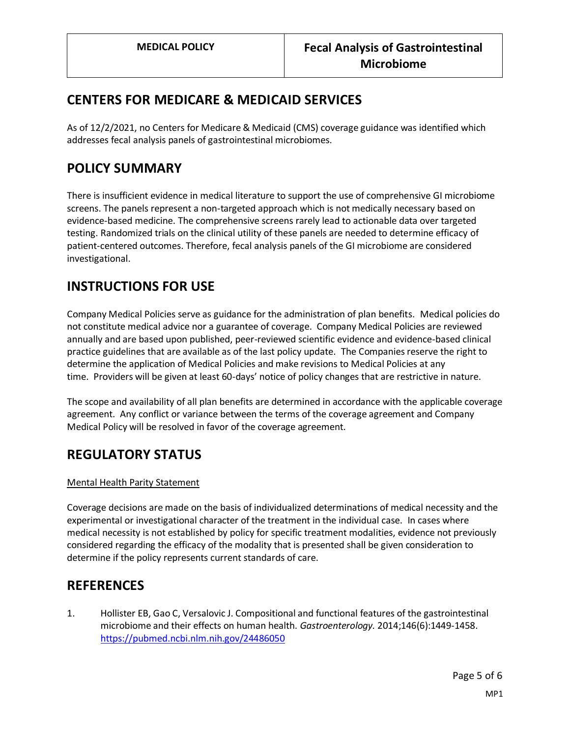# **CENTERS FOR MEDICARE & MEDICAID SERVICES**

As of 12/2/2021, no Centers for Medicare & Medicaid (CMS) coverage guidance was identified which addresses fecal analysis panels of gastrointestinal microbiomes.

### <span id="page-4-0"></span>**POLICY SUMMARY**

There is insufficient evidence in medical literature to support the use of comprehensive GI microbiome screens. The panels represent a non-targeted approach which is not medically necessary based on evidence-based medicine. The comprehensive screens rarely lead to actionable data over targeted testing. Randomized trials on the clinical utility of these panels are needed to determine efficacy of patient-centered outcomes. Therefore, fecal analysis panels of the GI microbiome are considered investigational.

### **INSTRUCTIONS FOR USE**

Company Medical Policies serve as guidance for the administration of plan benefits. Medical policies do not constitute medical advice nor a guarantee of coverage. Company Medical Policies are reviewed annually and are based upon published, peer-reviewed scientific evidence and evidence-based clinical practice guidelines that are available as of the last policy update. The Companies reserve the right to determine the application of Medical Policies and make revisions to Medical Policies at any time. Providers will be given at least 60-days' notice of policy changes that are restrictive in nature.

The scope and availability of all plan benefits are determined in accordance with the applicable coverage agreement. Any conflict or variance between the terms of the coverage agreement and Company Medical Policy will be resolved in favor of the coverage agreement.

# **REGULATORY STATUS**

### Mental Health Parity Statement

Coverage decisions are made on the basis of individualized determinations of medical necessity and the experimental or investigational character of the treatment in the individual case. In cases where medical necessity is not established by policy for specific treatment modalities, evidence not previously considered regarding the efficacy of the modality that is presented shall be given consideration to determine if the policy represents current standards of care.

### **REFERENCES**

1. Hollister EB, Gao C, Versalovic J. Compositional and functional features of the gastrointestinal microbiome and their effects on human health. *Gastroenterology.* 2014;146(6):1449-1458. <https://pubmed.ncbi.nlm.nih.gov/24486050>